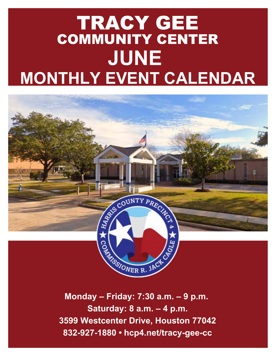# TRACY GEE COMMUNITY CENTER **JUNE MONTHLY EVENT CALENDAR**



**Monday – Friday: 7:30 a.m. – 9 p.m. Saturday: 8 a.m. – 4 p.m. 3599 Westcenter Drive, Houston 77042 832-927-1880 • hcp4.net/tracy-gee-cc**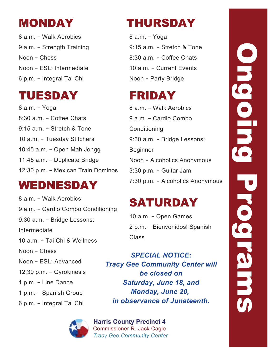### MONDAY

8 a.m. – Walk Aerobics 9 a.m. – Strength Training Noon – Chess Noon – ESL: Intermediate 6 p.m. – Integral Tai Chi

### TUESDAY

8 a.m. – Yoga 8:30 a.m. – Coffee Chats 9:15 a.m. – Stretch & Tone 10 a.m. – Tuesday Stitchers 10:45 a.m. – Open Mah Jongg 11:45 a.m. – Duplicate Bridge 12:30 p.m. – Mexican Train Dominos

### WEDNESDAY

8 a.m. – Walk Aerobics 9 a.m. – Cardio Combo Conditioning 9:30 a.m. – Bridge Lessons: Intermediate 10 a.m. – Tai Chi & Wellness Noon – Chess Noon – ESL: Advanced 12:30 p.m. – Gyrokinesis 1 p.m. – Line Dance 1 p.m. – Spanish Group 6 p.m. – Integral Tai Chi



### THURSDAY

8 a.m. – Yoga 9:15 a.m. – Stretch & Tone 8:30 a.m. – Coffee Chats 10 a.m. – Current Events Noon – Party Bridge

## FRIDAY

8 a.m. – Walk Aerobics 9 a.m. – Cardio Combo **Conditioning** 9:30 a.m. – Bridge Lessons: Beginner Noon – Alcoholics Anonymous 3:30 p.m. – Guitar Jam 7:30 p.m. – Alcoholics Anonymous

## SATURDAY

10 a.m. – Open Games 2 p.m. – Bienvenidos! Spanish Class

*SPECIAL NOTICE: Tracy Gee Community Center will be closed on Saturday, June 18, and Monday, June 20, in observance of Juneteenth.*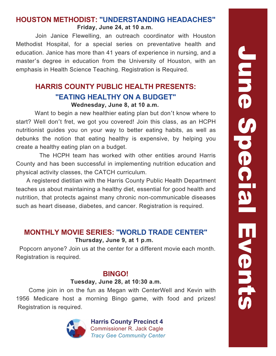#### **Friday, June 24, at 10 a.m. HOUSTON METHODIST: "UNDERSTANDING HEADACHES"**

 Join Janice Flewelling, an outreach coordinator with Houston Methodist Hospital, for a special series on preventative health and education. Janice has more than 41 years of experience in nursing, and a master's degree in education from the University of Houston, with an emphasis in Health Science Teaching. Registration is Required.

#### **Wednesday, June 8, at 10 a.m. HARRIS COUNTY PUBLIC HEALTH PRESENTS: "EATING HEALTHY ON A BUDGET"**

 Want to begin a new healthier eating plan but don't know where to start? Well don't fret, we got you covered! Join this class, as an HCPH nutritionist guides you on your way to better eating habits, as well as debunks the notion that eating healthy is expensive, by helping you create a healthy eating plan on a budget.

 The HCPH team has worked with other entities around Harris County and has been successful in implementing nutrition education and physical activity classes, the CATCH curriculum.

 A registered dietitian with the Harris County Public Health Department teaches us about maintaining a healthy diet, essential for good health and nutrition, that protects against many chronic non-communicable diseases such as heart disease, diabetes, and cancer. Registration is required.

#### **Thursday, June 9, at 1 p.m. MONTHLY MOVIE SERIES: "WORLD TRADE CENTER"**

 Popcorn anyone? Join us at the center for a different movie each month. Registration is required.

#### **BINGO!**

#### **Tuesday, June 28, at 10:30 a.m.**

 Come join in on the fun as Megan with CenterWell and Kevin with 1956 Medicare host a morning Bingo game, with food and prizes! Registration is required.

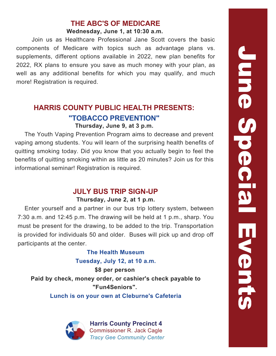#### **Wednesday, June 1, at 10:30 a.m. THE ABC'S OF MEDICARE**

 Join us as Healthcare Professional Jane Scott covers the basic components of Medicare with topics such as advantage plans vs. supplements, different options available in 2022, new plan benefits for 2022, RX plans to ensure you save as much money with your plan, as well as any additional benefits for which you may qualify, and much more! Registration is required.

### **HARRIS COUNTY PUBLIC HEALTH PRESENTS: "TOBACCO PREVENTION"**

#### **Thursday, June 9, at 3 p.m.**

 The Youth Vaping Prevention Program aims to decrease and prevent vaping among students. You will learn of the surprising health benefits of quitting smoking today. Did you know that you actually begin to feel the benefits of quitting smoking within as little as 20 minutes? Join us for this informational seminar! Registration is required.

#### **JULY BUS TRIP SIGN-UP**

#### **Thursday, June 2, at 1 p.m.**

 Enter yourself and a partner in our bus trip lottery system, between 7:30 a.m. and 12:45 p.m. The drawing will be held at 1 p.m., sharp. You must be present for the drawing, to be added to the trip. Transportation is provided for individuals 50 and older. Buses will pick up and drop off participants at the center.

**The Health Museum Tuesday, July 12, at 10 a.m. \$8 per person Paid by check, money order, or cashier's check payable to "Fun4Seniors". Lunch is on your own at Cleburne's Cafeteria**